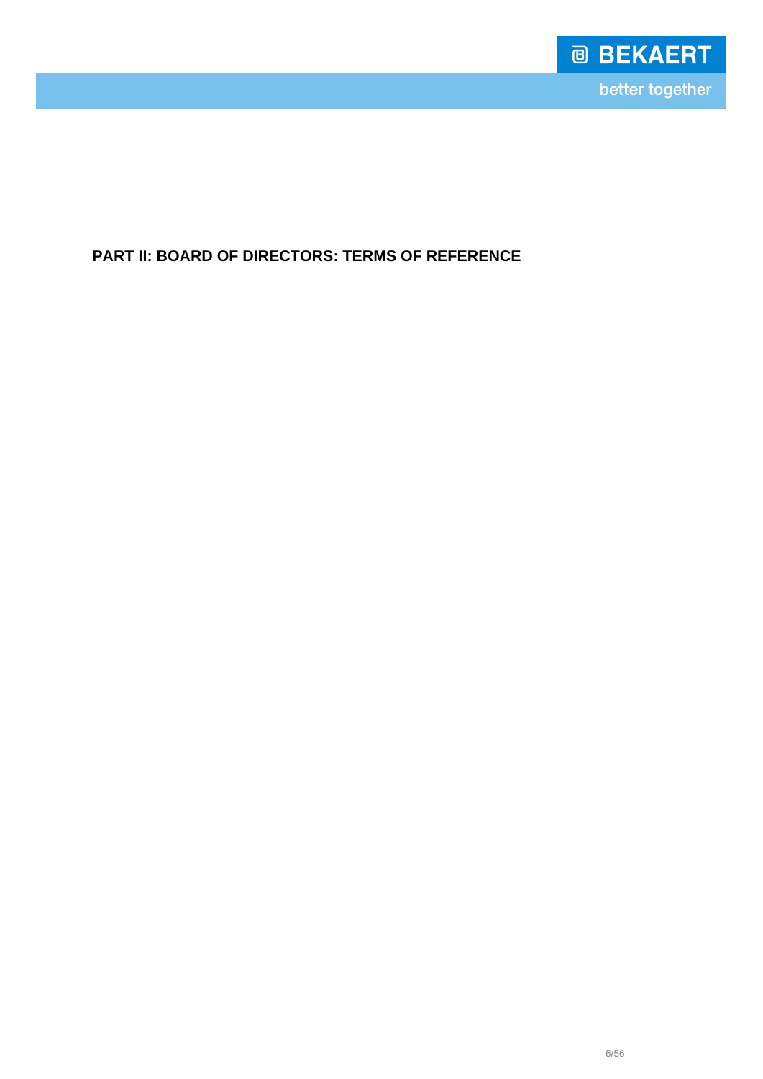

**PART II: BOARD OF DIRECTORS: TERMS OF REFERENCE**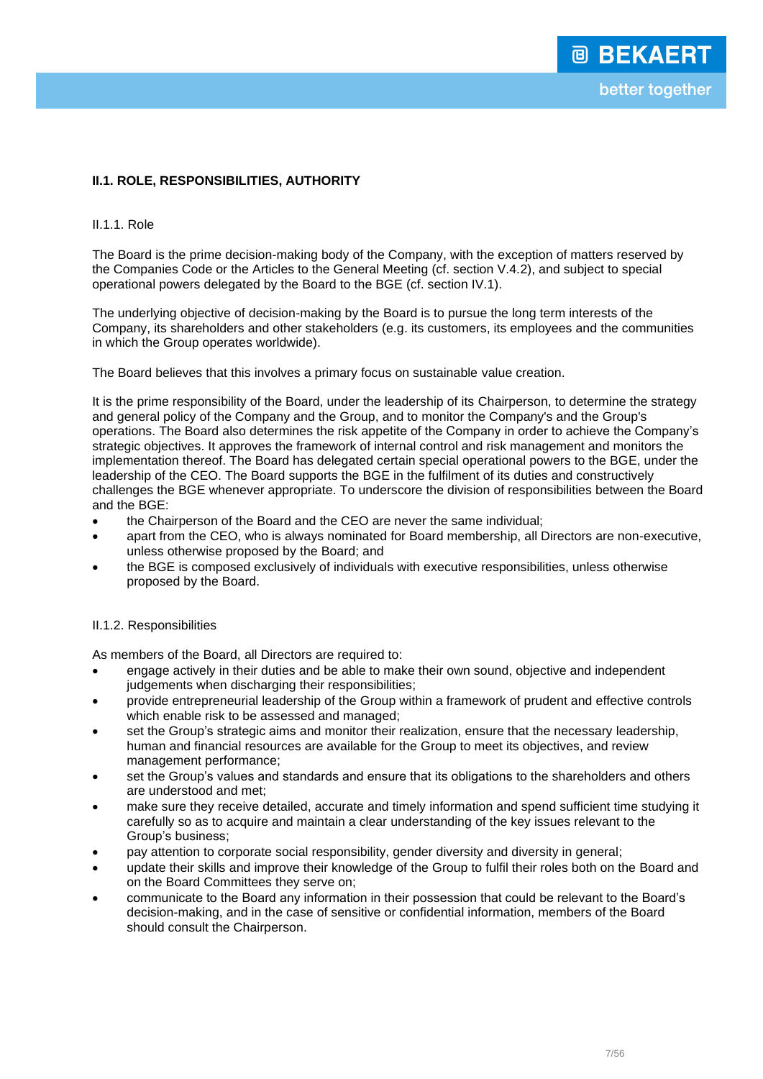# **II.1. ROLE, RESPONSIBILITIES, AUTHORITY**

## II.1.1. Role

The Board is the prime decision-making body of the Company, with the exception of matters reserved by the Companies Code or the Articles to the General Meeting (cf. section V.4.2), and subject to special operational powers delegated by the Board to the BGE (cf. section IV.1).

The underlying objective of decision-making by the Board is to pursue the long term interests of the Company, its shareholders and other stakeholders (e.g. its customers, its employees and the communities in which the Group operates worldwide).

The Board believes that this involves a primary focus on sustainable value creation.

It is the prime responsibility of the Board, under the leadership of its Chairperson, to determine the strategy and general policy of the Company and the Group, and to monitor the Company's and the Group's operations. The Board also determines the risk appetite of the Company in order to achieve the Company's strategic objectives. It approves the framework of internal control and risk management and monitors the implementation thereof. The Board has delegated certain special operational powers to the BGE, under the leadership of the CEO. The Board supports the BGE in the fulfilment of its duties and constructively challenges the BGE whenever appropriate. To underscore the division of responsibilities between the Board and the BGE:

- the Chairperson of the Board and the CEO are never the same individual;
- apart from the CEO, who is always nominated for Board membership, all Directors are non-executive, unless otherwise proposed by the Board; and
- the BGE is composed exclusively of individuals with executive responsibilities, unless otherwise proposed by the Board.

## II.1.2. Responsibilities

As members of the Board, all Directors are required to:

- engage actively in their duties and be able to make their own sound, objective and independent judgements when discharging their responsibilities;
- provide entrepreneurial leadership of the Group within a framework of prudent and effective controls which enable risk to be assessed and managed;
- set the Group's strategic aims and monitor their realization, ensure that the necessary leadership, human and financial resources are available for the Group to meet its objectives, and review management performance;
- set the Group's values and standards and ensure that its obligations to the shareholders and others are understood and met;
- make sure they receive detailed, accurate and timely information and spend sufficient time studying it carefully so as to acquire and maintain a clear understanding of the key issues relevant to the Group's business;
- pay attention to corporate social responsibility, gender diversity and diversity in general;
- update their skills and improve their knowledge of the Group to fulfil their roles both on the Board and on the Board Committees they serve on;
- communicate to the Board any information in their possession that could be relevant to the Board's decision-making, and in the case of sensitive or confidential information, members of the Board should consult the Chairperson.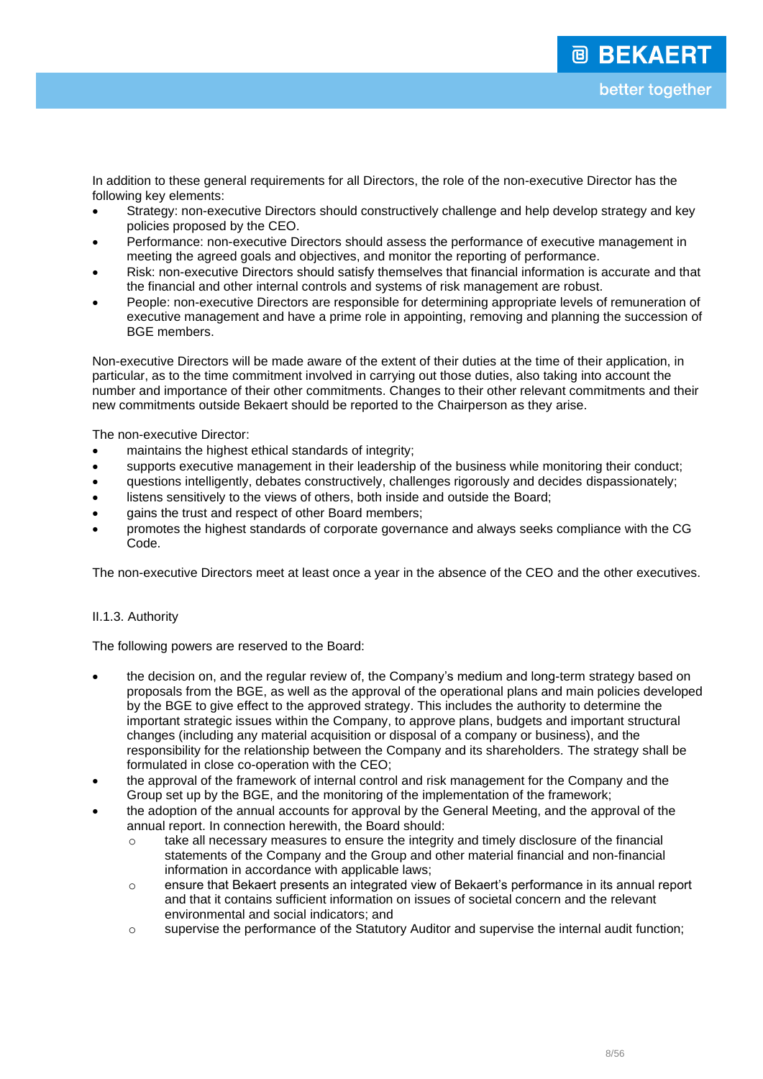In addition to these general requirements for all Directors, the role of the non-executive Director has the following key elements:

- Strategy: non-executive Directors should constructively challenge and help develop strategy and key policies proposed by the CEO.
- Performance: non-executive Directors should assess the performance of executive management in meeting the agreed goals and objectives, and monitor the reporting of performance.
- Risk: non-executive Directors should satisfy themselves that financial information is accurate and that the financial and other internal controls and systems of risk management are robust.
- People: non-executive Directors are responsible for determining appropriate levels of remuneration of executive management and have a prime role in appointing, removing and planning the succession of BGE members.

Non-executive Directors will be made aware of the extent of their duties at the time of their application, in particular, as to the time commitment involved in carrying out those duties, also taking into account the number and importance of their other commitments. Changes to their other relevant commitments and their new commitments outside Bekaert should be reported to the Chairperson as they arise.

The non-executive Director:

- maintains the highest ethical standards of integrity;
- supports executive management in their leadership of the business while monitoring their conduct;
- questions intelligently, debates constructively, challenges rigorously and decides dispassionately;
- listens sensitively to the views of others, both inside and outside the Board;
- gains the trust and respect of other Board members;
- promotes the highest standards of corporate governance and always seeks compliance with the CG Code.

The non-executive Directors meet at least once a year in the absence of the CEO and the other executives.

## II.1.3. Authority

The following powers are reserved to the Board:

- the decision on, and the regular review of, the Company's medium and long-term strategy based on proposals from the BGE, as well as the approval of the operational plans and main policies developed by the BGE to give effect to the approved strategy. This includes the authority to determine the important strategic issues within the Company, to approve plans, budgets and important structural changes (including any material acquisition or disposal of a company or business), and the responsibility for the relationship between the Company and its shareholders. The strategy shall be formulated in close co-operation with the CEO;
- the approval of the framework of internal control and risk management for the Company and the Group set up by the BGE, and the monitoring of the implementation of the framework;
- the adoption of the annual accounts for approval by the General Meeting, and the approval of the annual report. In connection herewith, the Board should:
	- $\circ$  take all necessary measures to ensure the integrity and timely disclosure of the financial statements of the Company and the Group and other material financial and non-financial information in accordance with applicable laws;
	- o ensure that Bekaert presents an integrated view of Bekaert's performance in its annual report and that it contains sufficient information on issues of societal concern and the relevant environmental and social indicators; and
	- o supervise the performance of the Statutory Auditor and supervise the internal audit function;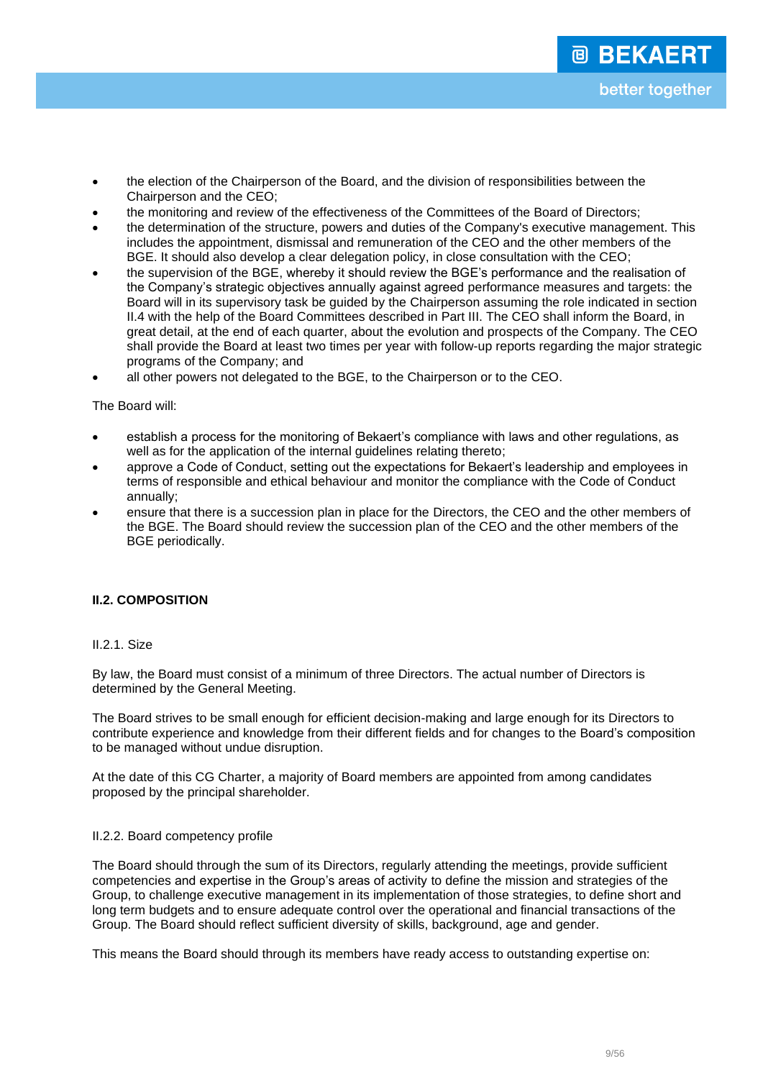- the election of the Chairperson of the Board, and the division of responsibilities between the Chairperson and the CEO;
- the monitoring and review of the effectiveness of the Committees of the Board of Directors;
- the determination of the structure, powers and duties of the Company's executive management. This includes the appointment, dismissal and remuneration of the CEO and the other members of the BGE. It should also develop a clear delegation policy, in close consultation with the CEO;
- the supervision of the BGE, whereby it should review the BGE's performance and the realisation of the Company's strategic objectives annually against agreed performance measures and targets: the Board will in its supervisory task be guided by the Chairperson assuming the role indicated in section II.4 with the help of the Board Committees described in Part III. The CEO shall inform the Board, in great detail, at the end of each quarter, about the evolution and prospects of the Company. The CEO shall provide the Board at least two times per year with follow-up reports regarding the major strategic programs of the Company; and
- all other powers not delegated to the BGE, to the Chairperson or to the CEO.

## The Board will:

- establish a process for the monitoring of Bekaert's compliance with laws and other regulations, as well as for the application of the internal guidelines relating thereto;
- approve a Code of Conduct, setting out the expectations for Bekaert's leadership and employees in terms of responsible and ethical behaviour and monitor the compliance with the Code of Conduct annually;
- ensure that there is a succession plan in place for the Directors, the CEO and the other members of the BGE. The Board should review the succession plan of the CEO and the other members of the BGE periodically.

## **II.2. COMPOSITION**

## II.2.1. Size

By law, the Board must consist of a minimum of three Directors. The actual number of Directors is determined by the General Meeting.

The Board strives to be small enough for efficient decision-making and large enough for its Directors to contribute experience and knowledge from their different fields and for changes to the Board's composition to be managed without undue disruption.

At the date of this CG Charter, a majority of Board members are appointed from among candidates proposed by the principal shareholder.

## II.2.2. Board competency profile

The Board should through the sum of its Directors, regularly attending the meetings, provide sufficient competencies and expertise in the Group's areas of activity to define the mission and strategies of the Group, to challenge executive management in its implementation of those strategies, to define short and long term budgets and to ensure adequate control over the operational and financial transactions of the Group. The Board should reflect sufficient diversity of skills, background, age and gender.

This means the Board should through its members have ready access to outstanding expertise on: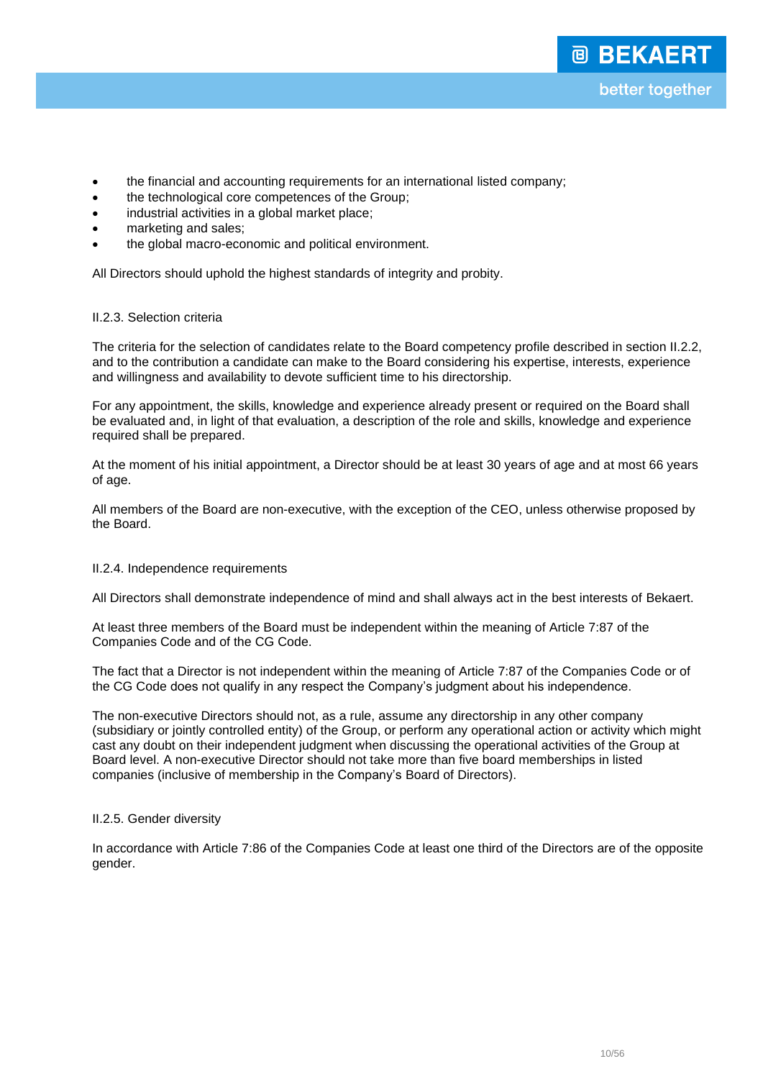- the financial and accounting requirements for an international listed company;
- the technological core competences of the Group;
- industrial activities in a global market place;
- marketing and sales;
- the global macro-economic and political environment.

All Directors should uphold the highest standards of integrity and probity.

## II.2.3. Selection criteria

The criteria for the selection of candidates relate to the Board competency profile described in section II.2.2, and to the contribution a candidate can make to the Board considering his expertise, interests, experience and willingness and availability to devote sufficient time to his directorship.

For any appointment, the skills, knowledge and experience already present or required on the Board shall be evaluated and, in light of that evaluation, a description of the role and skills, knowledge and experience required shall be prepared.

At the moment of his initial appointment, a Director should be at least 30 years of age and at most 66 years of age.

All members of the Board are non-executive, with the exception of the CEO, unless otherwise proposed by the Board.

## II.2.4. Independence requirements

All Directors shall demonstrate independence of mind and shall always act in the best interests of Bekaert.

At least three members of the Board must be independent within the meaning of Article 7:87 of the Companies Code and of the CG Code.

The fact that a Director is not independent within the meaning of Article 7:87 of the Companies Code or of the CG Code does not qualify in any respect the Company's judgment about his independence.

The non-executive Directors should not, as a rule, assume any directorship in any other company (subsidiary or jointly controlled entity) of the Group, or perform any operational action or activity which might cast any doubt on their independent judgment when discussing the operational activities of the Group at Board level. A non-executive Director should not take more than five board memberships in listed companies (inclusive of membership in the Company's Board of Directors).

## II.2.5. Gender diversity

In accordance with Article 7:86 of the Companies Code at least one third of the Directors are of the opposite gender.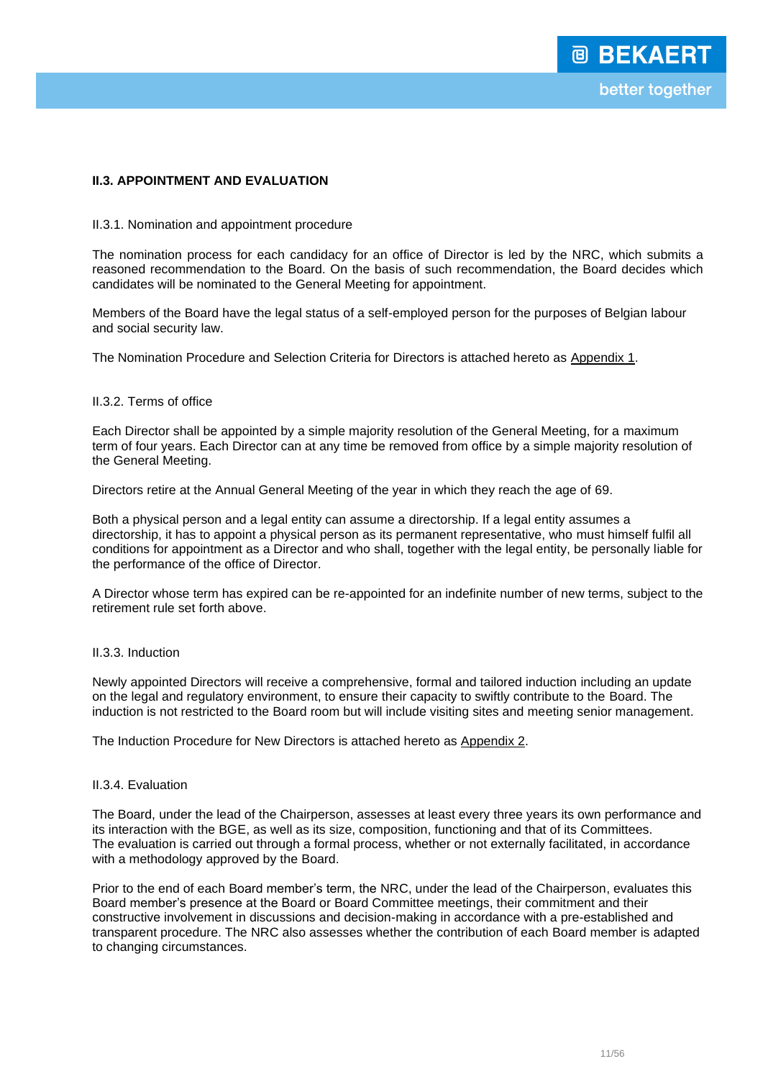## **II.3. APPOINTMENT AND EVALUATION**

#### II.3.1. Nomination and appointment procedure

The nomination process for each candidacy for an office of Director is led by the NRC, which submits a reasoned recommendation to the Board. On the basis of such recommendation, the Board decides which candidates will be nominated to the General Meeting for appointment.

Members of the Board have the legal status of a self-employed person for the purposes of Belgian labour and social security law.

The Nomination Procedure and Selection Criteria for Directors is attached hereto as Appendix 1.

#### II.3.2. Terms of office

Each Director shall be appointed by a simple majority resolution of the General Meeting, for a maximum term of four years. Each Director can at any time be removed from office by a simple majority resolution of the General Meeting.

Directors retire at the Annual General Meeting of the year in which they reach the age of 69.

Both a physical person and a legal entity can assume a directorship. If a legal entity assumes a directorship, it has to appoint a physical person as its permanent representative, who must himself fulfil all conditions for appointment as a Director and who shall, together with the legal entity, be personally liable for the performance of the office of Director.

A Director whose term has expired can be re-appointed for an indefinite number of new terms, subject to the retirement rule set forth above.

## II.3.3. Induction

Newly appointed Directors will receive a comprehensive, formal and tailored induction including an update on the legal and regulatory environment, to ensure their capacity to swiftly contribute to the Board. The induction is not restricted to the Board room but will include visiting sites and meeting senior management.

The Induction Procedure for New Directors is attached hereto as Appendix 2.

#### II.3.4. Evaluation

The Board, under the lead of the Chairperson, assesses at least every three years its own performance and its interaction with the BGE, as well as its size, composition, functioning and that of its Committees. The evaluation is carried out through a formal process, whether or not externally facilitated, in accordance with a methodology approved by the Board.

Prior to the end of each Board member's term, the NRC, under the lead of the Chairperson, evaluates this Board member's presence at the Board or Board Committee meetings, their commitment and their constructive involvement in discussions and decision-making in accordance with a pre-established and transparent procedure. The NRC also assesses whether the contribution of each Board member is adapted to changing circumstances.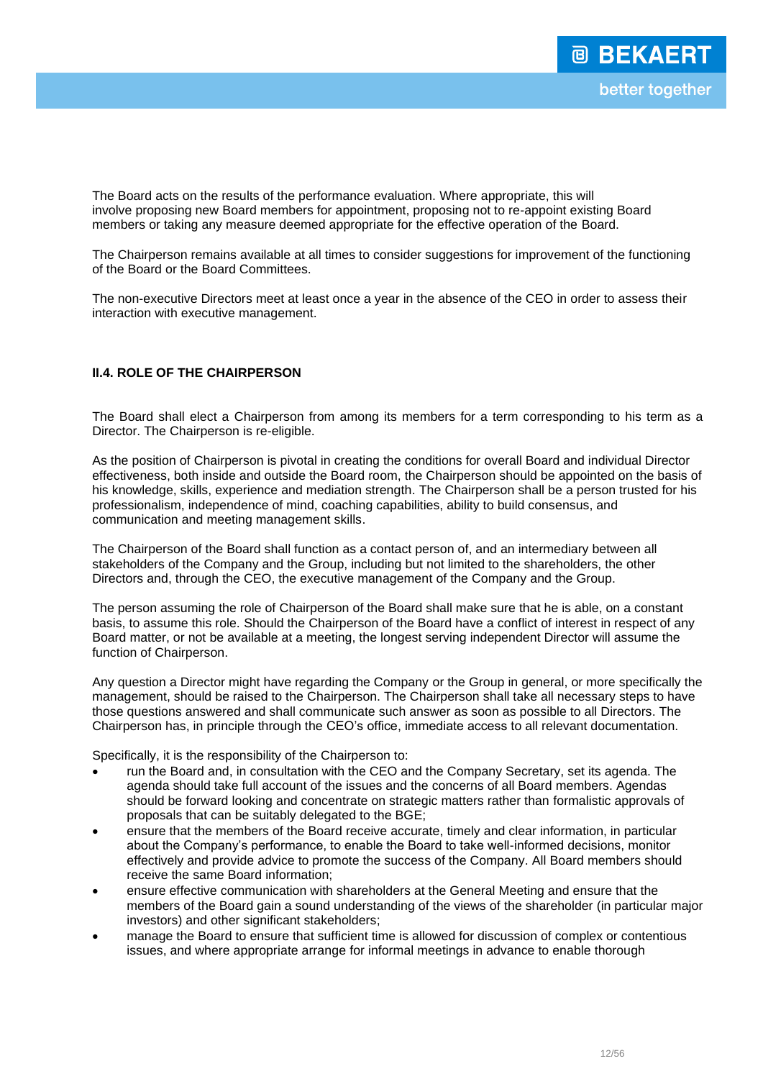The Board acts on the results of the performance evaluation. Where appropriate, this will involve proposing new Board members for appointment, proposing not to re-appoint existing Board members or taking any measure deemed appropriate for the effective operation of the Board.

The Chairperson remains available at all times to consider suggestions for improvement of the functioning of the Board or the Board Committees.

The non-executive Directors meet at least once a year in the absence of the CEO in order to assess their interaction with executive management.

# **II.4. ROLE OF THE CHAIRPERSON**

The Board shall elect a Chairperson from among its members for a term corresponding to his term as a Director. The Chairperson is re-eligible.

As the position of Chairperson is pivotal in creating the conditions for overall Board and individual Director effectiveness, both inside and outside the Board room, the Chairperson should be appointed on the basis of his knowledge, skills, experience and mediation strength. The Chairperson shall be a person trusted for his professionalism, independence of mind, coaching capabilities, ability to build consensus, and communication and meeting management skills.

The Chairperson of the Board shall function as a contact person of, and an intermediary between all stakeholders of the Company and the Group, including but not limited to the shareholders, the other Directors and, through the CEO, the executive management of the Company and the Group.

The person assuming the role of Chairperson of the Board shall make sure that he is able, on a constant basis, to assume this role. Should the Chairperson of the Board have a conflict of interest in respect of any Board matter, or not be available at a meeting, the longest serving independent Director will assume the function of Chairperson.

Any question a Director might have regarding the Company or the Group in general, or more specifically the management, should be raised to the Chairperson. The Chairperson shall take all necessary steps to have those questions answered and shall communicate such answer as soon as possible to all Directors. The Chairperson has, in principle through the CEO's office, immediate access to all relevant documentation.

Specifically, it is the responsibility of the Chairperson to:

- run the Board and, in consultation with the CEO and the Company Secretary, set its agenda. The agenda should take full account of the issues and the concerns of all Board members. Agendas should be forward looking and concentrate on strategic matters rather than formalistic approvals of proposals that can be suitably delegated to the BGE;
- ensure that the members of the Board receive accurate, timely and clear information, in particular about the Company's performance, to enable the Board to take well-informed decisions, monitor effectively and provide advice to promote the success of the Company. All Board members should receive the same Board information;
- ensure effective communication with shareholders at the General Meeting and ensure that the members of the Board gain a sound understanding of the views of the shareholder (in particular major investors) and other significant stakeholders;
- manage the Board to ensure that sufficient time is allowed for discussion of complex or contentious issues, and where appropriate arrange for informal meetings in advance to enable thorough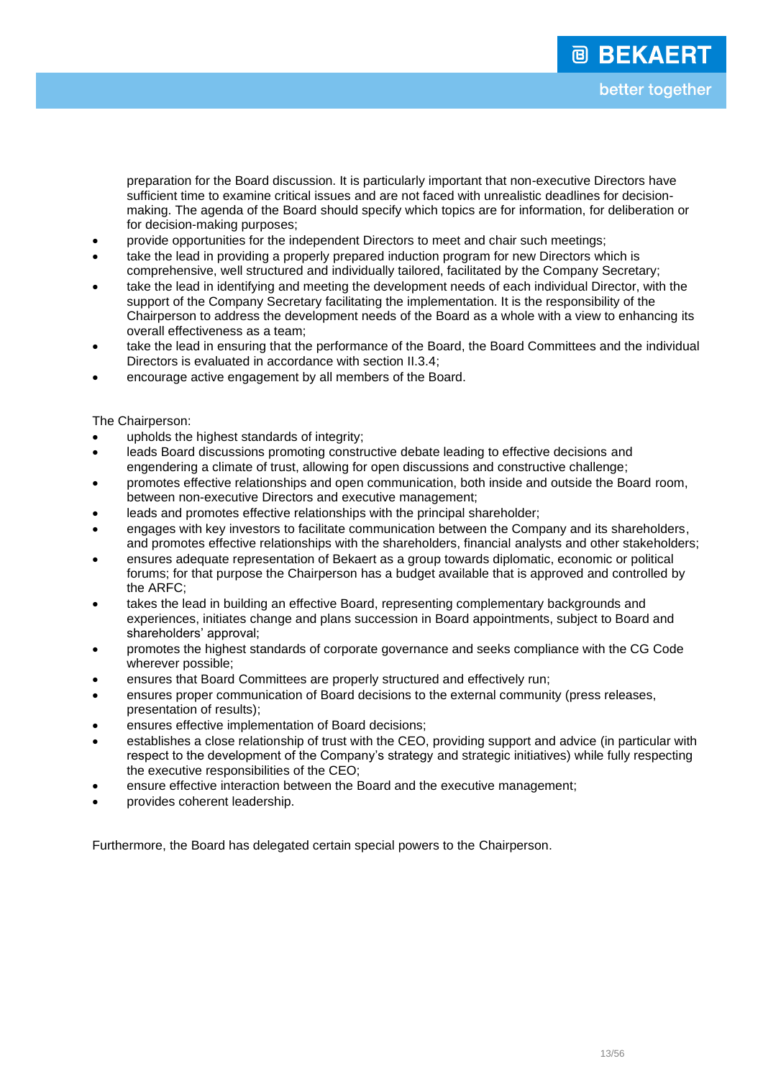preparation for the Board discussion. It is particularly important that non-executive Directors have sufficient time to examine critical issues and are not faced with unrealistic deadlines for decisionmaking. The agenda of the Board should specify which topics are for information, for deliberation or for decision-making purposes;

- provide opportunities for the independent Directors to meet and chair such meetings;
- take the lead in providing a properly prepared induction program for new Directors which is comprehensive, well structured and individually tailored, facilitated by the Company Secretary;
- take the lead in identifying and meeting the development needs of each individual Director, with the support of the Company Secretary facilitating the implementation. It is the responsibility of the Chairperson to address the development needs of the Board as a whole with a view to enhancing its overall effectiveness as a team;
- take the lead in ensuring that the performance of the Board, the Board Committees and the individual Directors is evaluated in accordance with section II.3.4;
- encourage active engagement by all members of the Board.

The Chairperson:

- upholds the highest standards of integrity;
- leads Board discussions promoting constructive debate leading to effective decisions and engendering a climate of trust, allowing for open discussions and constructive challenge;
- promotes effective relationships and open communication, both inside and outside the Board room, between non-executive Directors and executive management;
- leads and promotes effective relationships with the principal shareholder;
- engages with key investors to facilitate communication between the Company and its shareholders, and promotes effective relationships with the shareholders, financial analysts and other stakeholders;
- ensures adequate representation of Bekaert as a group towards diplomatic, economic or political forums; for that purpose the Chairperson has a budget available that is approved and controlled by the ARFC;
- takes the lead in building an effective Board, representing complementary backgrounds and experiences, initiates change and plans succession in Board appointments, subject to Board and shareholders' approval;
- promotes the highest standards of corporate governance and seeks compliance with the CG Code wherever possible;
- ensures that Board Committees are properly structured and effectively run;
- ensures proper communication of Board decisions to the external community (press releases, presentation of results);
- ensures effective implementation of Board decisions;
- establishes a close relationship of trust with the CEO, providing support and advice (in particular with respect to the development of the Company's strategy and strategic initiatives) while fully respecting the executive responsibilities of the CEO;
- ensure effective interaction between the Board and the executive management;
- provides coherent leadership.

Furthermore, the Board has delegated certain special powers to the Chairperson.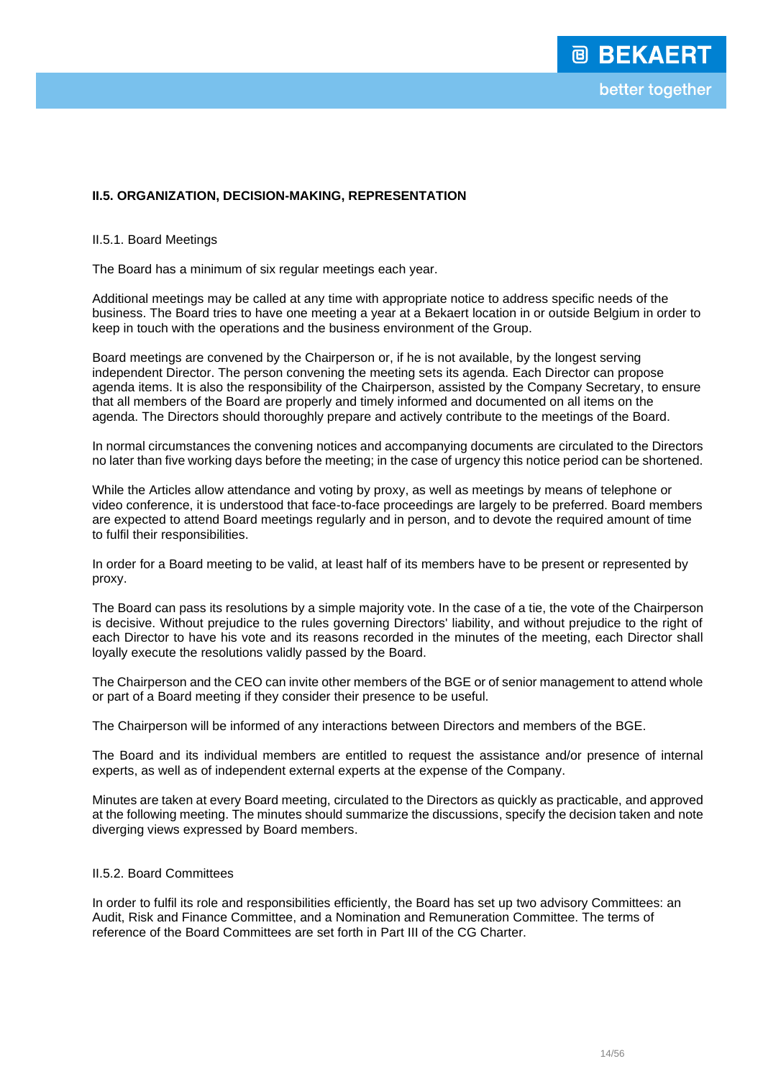## **II.5. ORGANIZATION, DECISION-MAKING, REPRESENTATION**

II.5.1. Board Meetings

The Board has a minimum of six regular meetings each year.

Additional meetings may be called at any time with appropriate notice to address specific needs of the business. The Board tries to have one meeting a year at a Bekaert location in or outside Belgium in order to keep in touch with the operations and the business environment of the Group.

Board meetings are convened by the Chairperson or, if he is not available, by the longest serving independent Director. The person convening the meeting sets its agenda. Each Director can propose agenda items. It is also the responsibility of the Chairperson, assisted by the Company Secretary, to ensure that all members of the Board are properly and timely informed and documented on all items on the agenda. The Directors should thoroughly prepare and actively contribute to the meetings of the Board.

In normal circumstances the convening notices and accompanying documents are circulated to the Directors no later than five working days before the meeting; in the case of urgency this notice period can be shortened.

While the Articles allow attendance and voting by proxy, as well as meetings by means of telephone or video conference, it is understood that face-to-face proceedings are largely to be preferred. Board members are expected to attend Board meetings regularly and in person, and to devote the required amount of time to fulfil their responsibilities.

In order for a Board meeting to be valid, at least half of its members have to be present or represented by proxy.

The Board can pass its resolutions by a simple majority vote. In the case of a tie, the vote of the Chairperson is decisive. Without prejudice to the rules governing Directors' liability, and without prejudice to the right of each Director to have his vote and its reasons recorded in the minutes of the meeting, each Director shall loyally execute the resolutions validly passed by the Board.

The Chairperson and the CEO can invite other members of the BGE or of senior management to attend whole or part of a Board meeting if they consider their presence to be useful.

The Chairperson will be informed of any interactions between Directors and members of the BGE.

The Board and its individual members are entitled to request the assistance and/or presence of internal experts, as well as of independent external experts at the expense of the Company.

Minutes are taken at every Board meeting, circulated to the Directors as quickly as practicable, and approved at the following meeting. The minutes should summarize the discussions, specify the decision taken and note diverging views expressed by Board members.

## II.5.2. Board Committees

In order to fulfil its role and responsibilities efficiently, the Board has set up two advisory Committees: an Audit, Risk and Finance Committee, and a Nomination and Remuneration Committee. The terms of reference of the Board Committees are set forth in Part III of the CG Charter.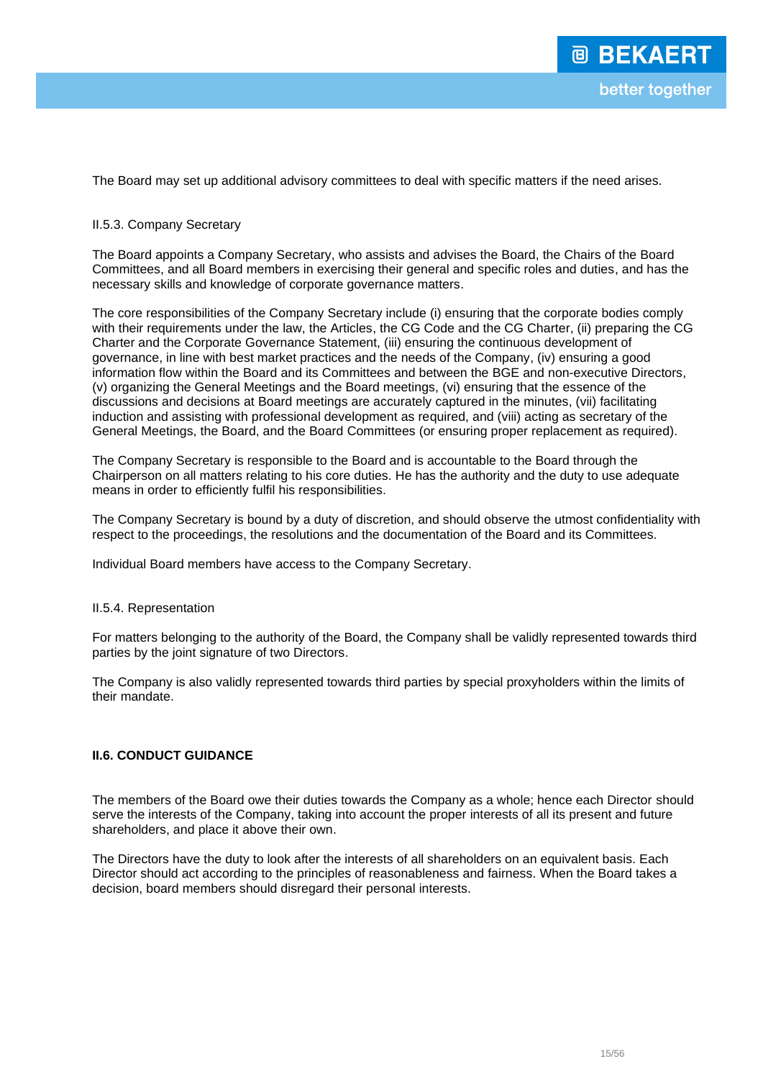The Board may set up additional advisory committees to deal with specific matters if the need arises.

### II.5.3. Company Secretary

The Board appoints a Company Secretary, who assists and advises the Board, the Chairs of the Board Committees, and all Board members in exercising their general and specific roles and duties, and has the necessary skills and knowledge of corporate governance matters.

The core responsibilities of the Company Secretary include (i) ensuring that the corporate bodies comply with their requirements under the law, the Articles, the CG Code and the CG Charter, (ii) preparing the CG Charter and the Corporate Governance Statement, (iii) ensuring the continuous development of governance, in line with best market practices and the needs of the Company, (iv) ensuring a good information flow within the Board and its Committees and between the BGE and non-executive Directors, (v) organizing the General Meetings and the Board meetings, (vi) ensuring that the essence of the discussions and decisions at Board meetings are accurately captured in the minutes, (vii) facilitating induction and assisting with professional development as required, and (viii) acting as secretary of the General Meetings, the Board, and the Board Committees (or ensuring proper replacement as required).

The Company Secretary is responsible to the Board and is accountable to the Board through the Chairperson on all matters relating to his core duties. He has the authority and the duty to use adequate means in order to efficiently fulfil his responsibilities.

The Company Secretary is bound by a duty of discretion, and should observe the utmost confidentiality with respect to the proceedings, the resolutions and the documentation of the Board and its Committees.

Individual Board members have access to the Company Secretary.

#### II.5.4. Representation

For matters belonging to the authority of the Board, the Company shall be validly represented towards third parties by the joint signature of two Directors.

The Company is also validly represented towards third parties by special proxyholders within the limits of their mandate.

## **II.6. CONDUCT GUIDANCE**

The members of the Board owe their duties towards the Company as a whole; hence each Director should serve the interests of the Company, taking into account the proper interests of all its present and future shareholders, and place it above their own.

The Directors have the duty to look after the interests of all shareholders on an equivalent basis. Each Director should act according to the principles of reasonableness and fairness. When the Board takes a decision, board members should disregard their personal interests.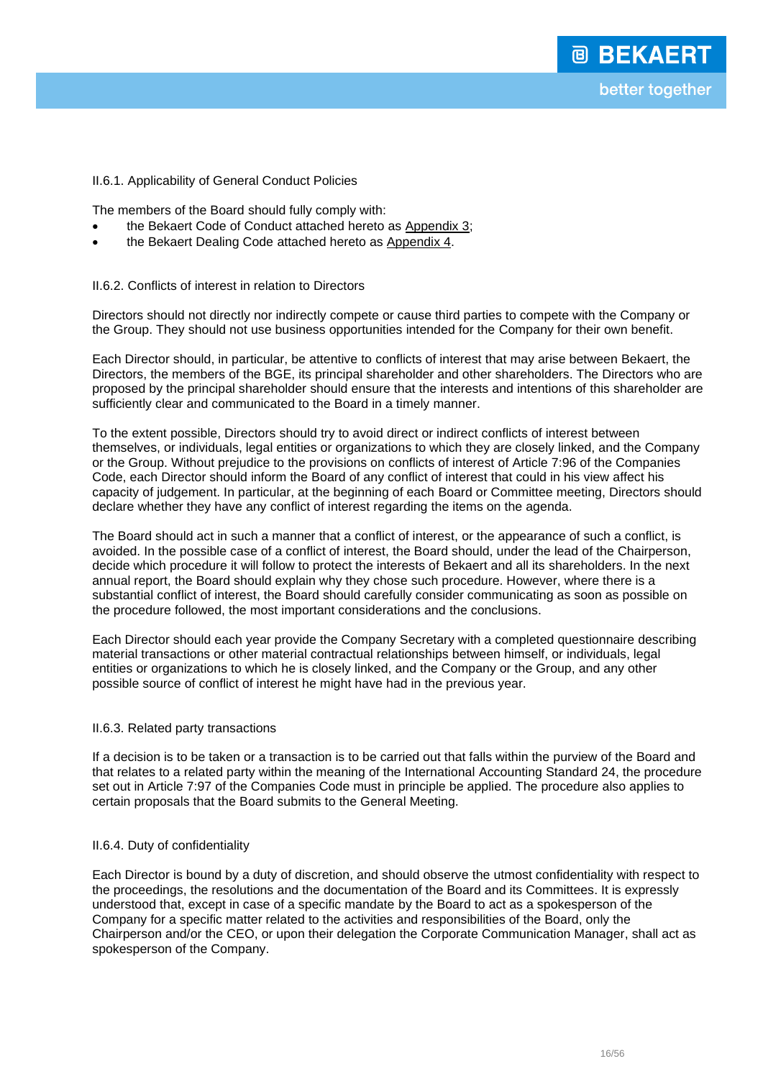## II.6.1. Applicability of General Conduct Policies

The members of the Board should fully comply with:

- the Bekaert Code of Conduct attached hereto as Appendix 3;
- the Bekaert Dealing Code attached hereto as Appendix 4.

## II.6.2. Conflicts of interest in relation to Directors

Directors should not directly nor indirectly compete or cause third parties to compete with the Company or the Group. They should not use business opportunities intended for the Company for their own benefit.

Each Director should, in particular, be attentive to conflicts of interest that may arise between Bekaert, the Directors, the members of the BGE, its principal shareholder and other shareholders. The Directors who are proposed by the principal shareholder should ensure that the interests and intentions of this shareholder are sufficiently clear and communicated to the Board in a timely manner.

To the extent possible, Directors should try to avoid direct or indirect conflicts of interest between themselves, or individuals, legal entities or organizations to which they are closely linked, and the Company or the Group. Without prejudice to the provisions on conflicts of interest of Article 7:96 of the Companies Code, each Director should inform the Board of any conflict of interest that could in his view affect his capacity of judgement. In particular, at the beginning of each Board or Committee meeting, Directors should declare whether they have any conflict of interest regarding the items on the agenda.

The Board should act in such a manner that a conflict of interest, or the appearance of such a conflict, is avoided. In the possible case of a conflict of interest, the Board should, under the lead of the Chairperson, decide which procedure it will follow to protect the interests of Bekaert and all its shareholders. In the next annual report, the Board should explain why they chose such procedure. However, where there is a substantial conflict of interest, the Board should carefully consider communicating as soon as possible on the procedure followed, the most important considerations and the conclusions.

Each Director should each year provide the Company Secretary with a completed questionnaire describing material transactions or other material contractual relationships between himself, or individuals, legal entities or organizations to which he is closely linked, and the Company or the Group, and any other possible source of conflict of interest he might have had in the previous year.

## II.6.3. Related party transactions

If a decision is to be taken or a transaction is to be carried out that falls within the purview of the Board and that relates to a related party within the meaning of the International Accounting Standard 24, the procedure set out in Article 7:97 of the Companies Code must in principle be applied. The procedure also applies to certain proposals that the Board submits to the General Meeting.

## II.6.4. Duty of confidentiality

Each Director is bound by a duty of discretion, and should observe the utmost confidentiality with respect to the proceedings, the resolutions and the documentation of the Board and its Committees. It is expressly understood that, except in case of a specific mandate by the Board to act as a spokesperson of the Company for a specific matter related to the activities and responsibilities of the Board, only the Chairperson and/or the CEO, or upon their delegation the Corporate Communication Manager, shall act as spokesperson of the Company.